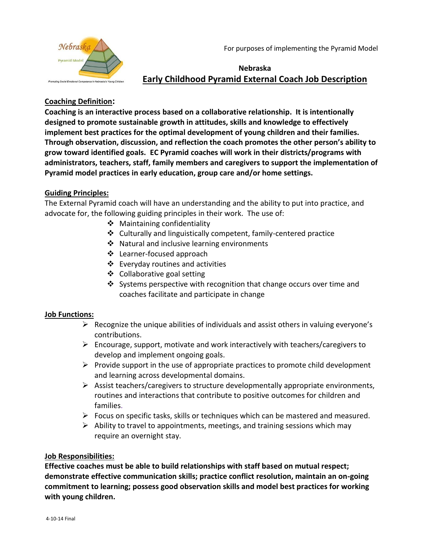For purposes of implementing the Pyramid Model



# **Nebraska Early Childhood Pyramid External Coach Job Description**

## **Coaching Definition:**

**Coaching is an interactive process based on a collaborative relationship. It is intentionally designed to promote sustainable growth in attitudes, skills and knowledge to effectively implement best practices for the optimal development of young children and their families. Through observation, discussion, and reflection the coach promotes the other person's ability to grow toward identified goals. EC Pyramid coaches will work in their districts/programs with administrators, teachers, staff, family members and caregivers to support the implementation of Pyramid model practices in early education, group care and/or home settings.**

#### **Guiding Principles:**

The External Pyramid coach will have an understanding and the ability to put into practice, and advocate for, the following guiding principles in their work. The use of:

- ❖ Maintaining confidentiality
- Culturally and linguistically competent, family-centered practice
- ❖ Natural and inclusive learning environments
- Learner-focused approach
- $\triangleleft$  Everyday routines and activities
- ❖ Collaborative goal setting
- Systems perspective with recognition that change occurs over time and coaches facilitate and participate in change

#### **Job Functions:**

- $\triangleright$  Recognize the unique abilities of individuals and assist others in valuing everyone's contributions.
- $\triangleright$  Encourage, support, motivate and work interactively with teachers/caregivers to develop and implement ongoing goals.
- $\triangleright$  Provide support in the use of appropriate practices to promote child development and learning across developmental domains.
- $\triangleright$  Assist teachers/caregivers to structure developmentally appropriate environments, routines and interactions that contribute to positive outcomes for children and families.
- $\triangleright$  Focus on specific tasks, skills or techniques which can be mastered and measured.
- $\triangleright$  Ability to travel to appointments, meetings, and training sessions which may require an overnight stay.

#### **Job Responsibilities:**

**Effective coaches must be able to build relationships with staff based on mutual respect; demonstrate effective communication skills; practice conflict resolution, maintain an on-going commitment to learning; possess good observation skills and model best practices for working with young children.**